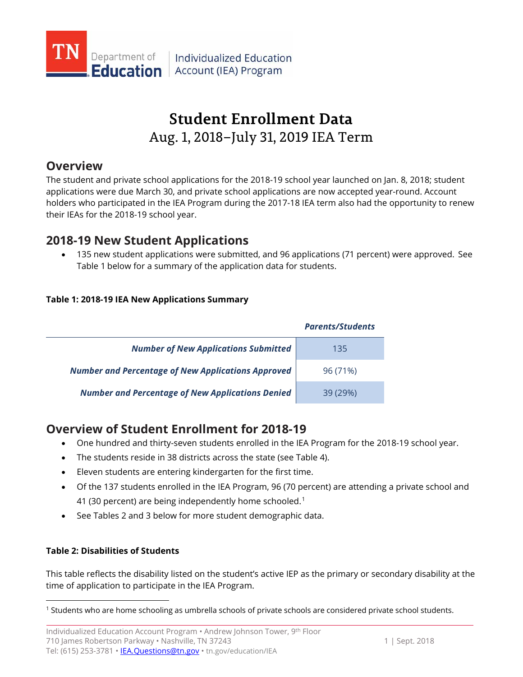

Individualized Education **Education** Account (IEA) Program

# **Student Enrollment Data** Aug. 1, 2018–July 31, 2019 IEA Term

## **Overview**

The student and private school applications for the 2018-19 school year launched on Jan. 8, 2018; student applications were due March 30, and private school applications are now accepted year-round. Account holders who participated in the IEA Program during the 2017-18 IEA term also had the opportunity to renew their IEAs for the 2018-19 school year.

## **2018-19 New Student Applications**

• 135 new student applications were submitted, and 96 applications (71 percent) were approved. See Table 1 below for a summary of the application data for students.

### **Table 1: 2018-19 IEA New Applications Summary**

|                                                           | <b>Parents/Students</b> |
|-----------------------------------------------------------|-------------------------|
| <b>Number of New Applications Submitted</b>               | 135                     |
| <b>Number and Percentage of New Applications Approved</b> | 96 (71%)                |
| <b>Number and Percentage of New Applications Denied</b>   | 39(29%)                 |

## **Overview of Student Enrollment for 2018-19**

- One hundred and thirty-seven students enrolled in the IEA Program for the 2018-19 school year.
- The students reside in 38 districts across the state (see Table 4).
- Eleven students are entering kindergarten for the first time.
- Of the 137 students enrolled in the IEA Program, 96 (70 percent) are attending a private school and 4[1](#page-0-0) (30 percent) are being independently home schooled.<sup>1</sup>
- See Tables 2 and 3 below for more student demographic data.

### **Table 2: Disabilities of Students**

l

This table reflects the disability listed on the student's active IEP as the primary or secondary disability at the time of application to participate in the IEA Program.

<span id="page-0-0"></span><sup>1</sup> Students who are home schooling as umbrella schools of private schools are considered private school students.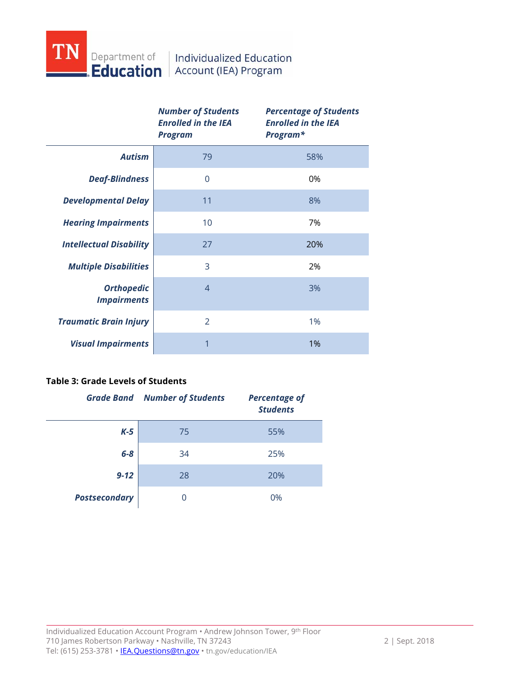

|                                         | <b>Number of Students</b><br><b>Enrolled in the IEA</b><br><b>Program</b> | <b>Percentage of Students</b><br><b>Enrolled in the IEA</b><br>Program* |
|-----------------------------------------|---------------------------------------------------------------------------|-------------------------------------------------------------------------|
| <b>Autism</b>                           | 79                                                                        | 58%                                                                     |
| <b>Deaf-Blindness</b>                   | $\overline{0}$                                                            | 0%                                                                      |
| <b>Developmental Delay</b>              | 11                                                                        | 8%                                                                      |
| <b>Hearing Impairments</b>              | 10                                                                        | 7%                                                                      |
| <b>Intellectual Disability</b>          | 27                                                                        | 20%                                                                     |
| <b>Multiple Disabilities</b>            | 3                                                                         | 2%                                                                      |
| <b>Orthopedic</b><br><b>Impairments</b> | $\overline{4}$                                                            | 3%                                                                      |
| <b>Traumatic Brain Injury</b>           | $\mathfrak{D}$                                                            | 1%                                                                      |
| <b>Visual Impairments</b>               | 1                                                                         | 1%                                                                      |

### **Table 3: Grade Levels of Students**

|                      | <b>Grade Band Number of Students</b> | <b>Percentage of</b><br><b>Students</b> |
|----------------------|--------------------------------------|-----------------------------------------|
| $K-5$                | 75                                   | 55%                                     |
| $6 - 8$              | 34                                   | 25%                                     |
| $9 - 12$             | 28                                   | 20%                                     |
| <b>Postsecondary</b> |                                      | 0%                                      |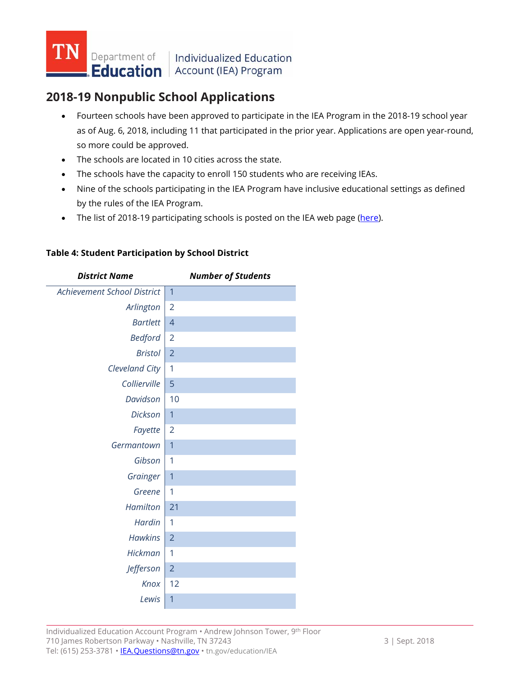

## **2018-19 Nonpublic School Applications**

- Fourteen schools have been approved to participate in the IEA Program in the 2018-19 school year as of Aug. 6, 2018, including 11 that participated in the prior year. Applications are open year-round, so more could be approved.
- The schools are located in 10 cities across the state.
- The schools have the capacity to enroll 150 students who are receiving IEAs.
- Nine of the schools participating in the IEA Program have inclusive educational settings as defined by the rules of the IEA Program.
- The list of 2018-19 participating schools is posted on the IEA web page [\(here\)](https://www.tn.gov/education/iea.html).

| <b>District Name</b>        | <b>Number of Students</b> |
|-----------------------------|---------------------------|
| Achievement School District | $\overline{1}$            |
| Arlington                   | $\overline{2}$            |
| <b>Bartlett</b>             | $\overline{4}$            |
| <b>Bedford</b>              | $\overline{2}$            |
| <b>Bristol</b>              | $\overline{2}$            |
| Cleveland City              | 1                         |
| Collierville                | 5                         |
| Davidson                    | 10                        |
| <b>Dickson</b>              | $\overline{1}$            |
| Fayette                     | 2                         |
| Germantown                  | 1                         |
| Gibson                      | 1                         |
| Grainger                    | 1                         |
| Greene                      | 1                         |
| Hamilton                    | 21                        |
| <b>Hardin</b>               | 1                         |
| <b>Hawkins</b>              | $\overline{2}$            |
| Hickman                     | 1                         |
| Jefferson                   | $\overline{2}$            |
| Knox                        | 12                        |
| Lewis                       | 1                         |
|                             |                           |

### **Table 4: Student Participation by School District**